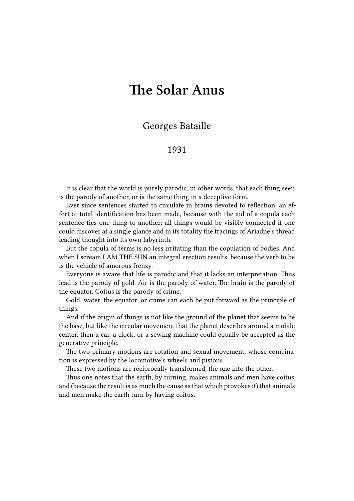## **The Solar Anus**

## Georges Bataille

## 1931

It is clear that the world is purely parodic, in other words, that each thing seen is the parody of another, or is the same thing in a deceptive form.

Ever since sentences started to circulate in brains devoted to reflection, an effort at total identification has been made, because with the aid of a copula each sentence ties one thing to another; all things would be visibly connected if one could discover at a single glance and in its totality the tracings of Ariadne's thread leading thought into its own labyrinth.

But the copula of terms is no less irritating than the copulation of bodies. And when I scream I AM THE SUN an integral erection results, because the verb to be is the vehicle of amorous frenzy.

Everyone is aware that life is parodic and that it lacks an interpretation. Thus lead is the parody of gold. Air is the parody of water. The brain is the parody of the equator. Coitus is the parody of crime.

Gold, water, the equator, or crime can each be put forward as the principle of things.

And if the origin of things is not like the ground of the planet that seems to be the base, but like the circular movement that the planet describes around a mobile center, then a car, a clock, or a sewing machine could equally be accepted as the generative principle.

The two primary motions are rotation and sexual movement, whose combination is expressed by the locomotive's wheels and pistons.

These two motions are reciprocally transformed, the one into the other.

Thus one notes that the earth, by turning, makes animals and men have coitus, and (because the result is as much the cause as that which provokes it) that animals and men make the earth turn by having coitus.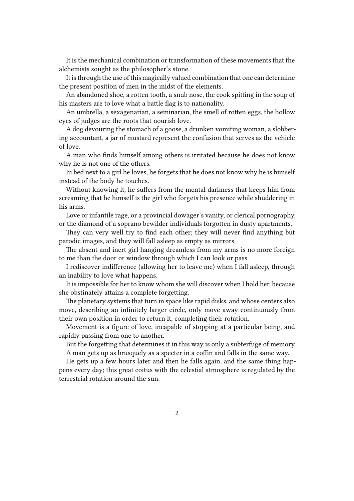It is the mechanical combination or transformation of these movements that the alchemists sought as the philosopher's stone.

It is through the use of this magically valued combination that one can determine the present position of men in the midst of the elements.

An abandoned shoe, a rotten tooth, a snub nose, the cook spitting in the soup of his masters are to love what a battle flag is to nationality.

An umbrella, a sexagenarian, a seminarian, the smell of rotten eggs, the hollow eyes of judges are the roots that nourish love.

A dog devouring the stomach of a goose, a drunken vomiting woman, a slobbering accountant, a jar of mustard represent the confusion that serves as the vehicle of love.

A man who finds himself among others is irritated because he does not know why he is not one of the others.

In bed next to a girl he loves, he forgets that he does not know why he is himself instead of the body he touches.

Without knowing it, he suffers from the mental darkness that keeps him from screaming that he himself is the girl who forgets his presence while shuddering in his arms.

Love or infantile rage, or a provincial dowager's vanity, or clerical pornography, or the diamond of a soprano bewilder individuals forgotten in dusty apartments.

They can very well try to find each other; they will never find anything but parodic images, and they will fall asleep as empty as mirrors.

The absent and inert girl hanging dreamless from my arms is no more foreign to me than the door or window through which I can look or pass.

I rediscover indifference (allowing her to leave me) when I fall asleep, through an inability to love what happens.

It is impossible for her to know whom she will discover when I hold her, because she obstinately attains a complete forgetting.

The planetary systems that turn in space like rapid disks, and whose centers also move, describing an infinitely larger circle, only move away continuously from their own position in order to return it, completing their rotation.

Movement is a figure of love, incapable of stopping at a particular being, and rapidly passing from one to another.

But the forgetting that determines it in this way is only a subterfuge of memory. A man gets up as brusquely as a specter in a coffin and falls in the same way.

He gets up a few hours later and then he falls again, and the same thing happens every day; this great coitus with the celestial atmosphere is regulated by the terrestrial rotation around the sun.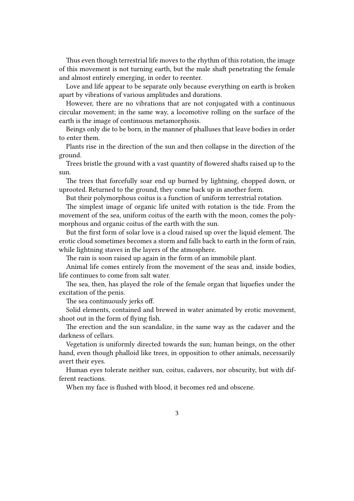Thus even though terrestrial life moves to the rhythm of this rotation, the image of this movement is not turning earth, but the male shaft penetrating the female and almost entirely emerging, in order to reenter.

Love and life appear to be separate only because everything on earth is broken apart by vibrations of various amplitudes and durations.

However, there are no vibrations that are not conjugated with a continuous circular movement; in the same way, a locomotive rolling on the surface of the earth is the image of continuous metamorphosis.

Beings only die to be born, in the manner of phalluses that leave bodies in order to enter them.

Plants rise in the direction of the sun and then collapse in the direction of the ground.

Trees bristle the ground with a vast quantity of flowered shafts raised up to the sun.

The trees that forcefully soar end up burned by lightning, chopped down, or uprooted. Returned to the ground, they come back up in another form.

But their polymorphous coitus is a function of uniform terrestrial rotation.

The simplest image of organic life united with rotation is the tide. From the movement of the sea, uniform coitus of the earth with the moon, comes the polymorphous and organic coitus of the earth with the sun.

But the first form of solar love is a cloud raised up over the liquid element. The erotic cloud sometimes becomes a storm and falls back to earth in the form of rain, while lightning staves in the layers of the atmosphere.

The rain is soon raised up again in the form of an immobile plant.

Animal life comes entirely from the movement of the seas and, inside bodies, life continues to come from salt water.

The sea, then, has played the role of the female organ that liquefies under the excitation of the penis.

The sea continuously jerks off.

Solid elements, contained and brewed in water animated by erotic movement, shoot out in the form of flying fish.

The erection and the sun scandalize, in the same way as the cadaver and the darkness of cellars.

Vegetation is uniformly directed towards the sun; human beings, on the other hand, even though phalloid like trees, in opposition to other animals, necessarily avert their eyes.

Human eyes tolerate neither sun, coitus, cadavers, nor obscurity, but with different reactions.

When my face is flushed with blood, it becomes red and obscene.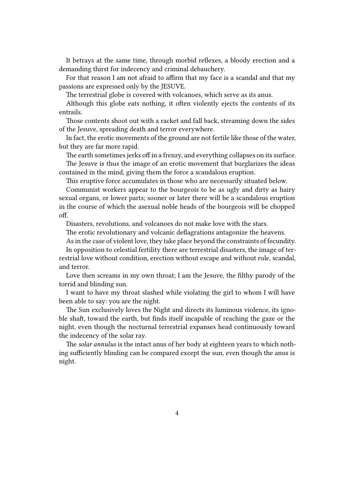It betrays at the same time, through morbid reflexes, a bloody erection and a demanding thirst for indecency and criminal debauchery.

For that reason I am not afraid to affirm that my face is a scandal and that my passions are expressed only by the JESUVE.

The terrestrial globe is covered with volcanoes, which serve as its anus.

Although this globe eats nothing, it often violently ejects the contents of its entrails.

Those contents shoot out with a racket and fall back, streaming down the sides of the Jesuve, spreading death and terror everywhere.

In fact, the erotic movements of the ground are not fertile like those of the water, but they are far more rapid.

The earth sometimes jerks off in a frenzy, and everything collapses on its surface. The Jesuve is thus the image of an erotic movement that burglarizes the ideas contained in the mind, giving them the force a scandalous eruption.

This eruptive force accumulates in those who are necessarily situated below.

Communist workers appear to the bourgeois to be as ugly and dirty as hairy sexual organs, or lower parts; sooner or later there will be a scandalous eruption in the course of which the asexual noble heads of the bourgeois will be chopped off.

Disasters, revolutions, and volcanoes do not make love with the stars.

The erotic revolutionary and volcanic deflagrations antagonize the heavens.

As in the case of violent love, they take place beyond the constraints of fecundity.

In opposition to celestial fertility there are terrestrial disasters, the image of terrestrial love without condition, erection without escape and without rule, scandal, and terror.

Love then screams in my own throat; I am the Jesuve, the filthy parody of the torrid and blinding sun.

I want to have my throat slashed while violating the girl to whom I will have been able to say: you are the night.

The Sun exclusively loves the Night and directs its luminous violence, its ignoble shaft, toward the earth, but finds itself incapable of reaching the gaze or the night, even though the nocturnal terrestrial expanses head continuously toward the indecency of the solar ray.

The *solar annulus* is the intact anus of her body at eighteen years to which nothing sufficiently blinding can be compared except the sun, even though the anus is night.